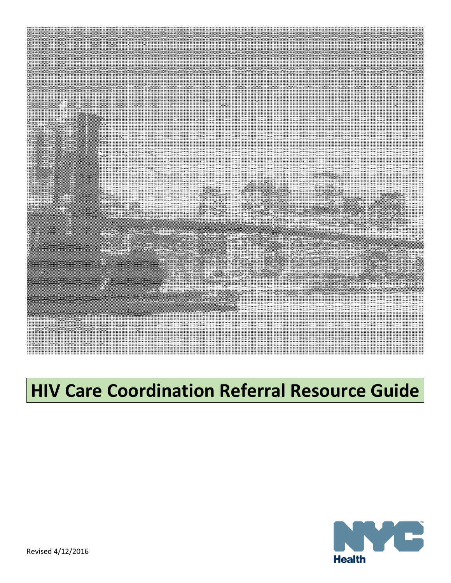

# **HIV Care Coordination Referral Resource Guide**

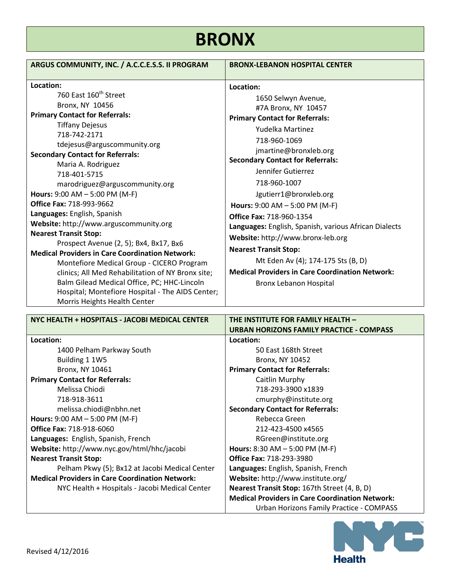# **BRONX**

| NYC HEALTH + HOSPITALS - JACOBI MEDICAL CENTER         | THE INSTITUTE FOR FAMILY HEALTH -                      |
|--------------------------------------------------------|--------------------------------------------------------|
|                                                        | URBAN HORIZONS FAMILY PRACTICE - COMPASS               |
| Location:                                              | Location:                                              |
| 1400 Pelham Parkway South                              | 50 East 168th Street                                   |
| Building 1 1W5                                         | Bronx, NY 10452                                        |
| Bronx, NY 10461                                        | <b>Primary Contact for Referrals:</b>                  |
| <b>Primary Contact for Referrals:</b>                  | Caitlin Murphy                                         |
| Melissa Chiodi                                         | 718-293-3900 x1839                                     |
| 718-918-3611                                           | cmurphy@institute.org                                  |
| melissa.chiodi@nbhn.net                                | <b>Secondary Contact for Referrals:</b>                |
| Hours: $9:00$ AM $- 5:00$ PM (M-F)                     | Rebecca Green                                          |
| <b>Office Fax: 718-918-6060</b>                        | 212-423-4500 x4565                                     |
| Languages: English, Spanish, French                    | RGreen@institute.org                                   |
| Website: http://www.nyc.gov/html/hhc/jacobi            | <b>Hours:</b> 8:30 AM $-$ 5:00 PM (M-F)                |
| <b>Nearest Transit Stop:</b>                           | <b>Office Fax: 718-293-3980</b>                        |
| Pelham Pkwy (5); Bx12 at Jacobi Medical Center         | Languages: English, Spanish, French                    |
| <b>Medical Providers in Care Coordination Network:</b> | Website: http://www.institute.org/                     |
| NYC Health + Hospitals - Jacobi Medical Center         | Nearest Transit Stop: 167th Street (4, B, D)           |
|                                                        | <b>Medical Providers in Care Coordination Network:</b> |
|                                                        | Urban Horizons Family Practice - COMPASS               |

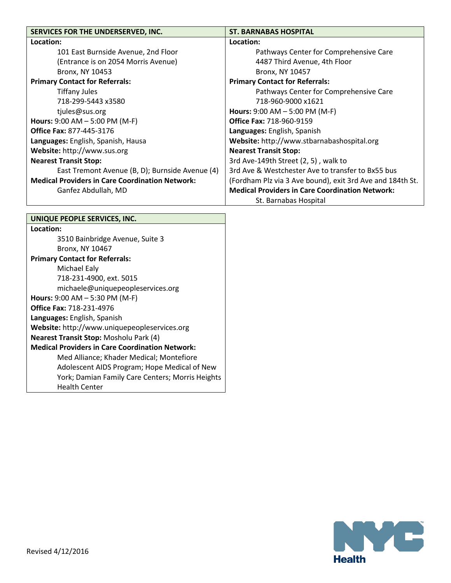| SERVICES FOR THE UNDERSERVED, INC.                     | <b>ST. BARNABAS HOSPITAL</b>                              |
|--------------------------------------------------------|-----------------------------------------------------------|
| Location:                                              | Location:                                                 |
| 101 East Burnside Avenue, 2nd Floor                    | Pathways Center for Comprehensive Care                    |
| (Entrance is on 2054 Morris Avenue)                    | 4487 Third Avenue, 4th Floor                              |
| Bronx, NY 10453                                        | Bronx, NY 10457                                           |
| <b>Primary Contact for Referrals:</b>                  | <b>Primary Contact for Referrals:</b>                     |
| <b>Tiffany Jules</b>                                   | Pathways Center for Comprehensive Care                    |
| 718-299-5443 x3580                                     | 718-960-9000 x1621                                        |
| tjules@sus.org                                         | <b>Hours:</b> $9:00$ AM $- 5:00$ PM (M-F)                 |
| <b>Hours:</b> 9:00 AM $-$ 5:00 PM (M-F)                | <b>Office Fax: 718-960-9159</b>                           |
| <b>Office Fax: 877-445-3176</b>                        | Languages: English, Spanish                               |
| Languages: English, Spanish, Hausa                     | Website: http://www.stbarnabashospital.org                |
| Website: http://www.sus.org                            | <b>Nearest Transit Stop:</b>                              |
| <b>Nearest Transit Stop:</b>                           | 3rd Ave-149th Street (2, 5), walk to                      |
| East Tremont Avenue (B, D); Burnside Avenue (4)        | 3rd Ave & Westchester Ave to transfer to Bx55 bus         |
| <b>Medical Providers in Care Coordination Network:</b> | (Fordham Plz via 3 Ave bound), exit 3rd Ave and 184th St. |
| Ganfez Abdullah, MD                                    | <b>Medical Providers in Care Coordination Network:</b>    |
|                                                        | St. Barnabas Hospital                                     |

#### **UNIQUE PEOPLE SERVICES, INC. Location:** 3510 Bainbridge Avenue, Suite 3 Bronx, NY 10467 **Primary Contact for Referrals:** Michael Ealy 718-231-4900, ext. 5015 michaele@uniquepeopleservices.org **Hours:** 9:00 AM – 5:30 PM (M-F) **Office Fax:** 718-231-4976 **Languages:** English, Spanish **Website:** http://www.uniquepeopleservices.org **Nearest Transit Stop:** Mosholu Park (4) **Medical Providers in Care Coordination Network:** Med Alliance; Khader Medical; Montefiore Adolescent AIDS Program; Hope Medical of New York; Damian Family Care Centers; Morris Heights Health Center

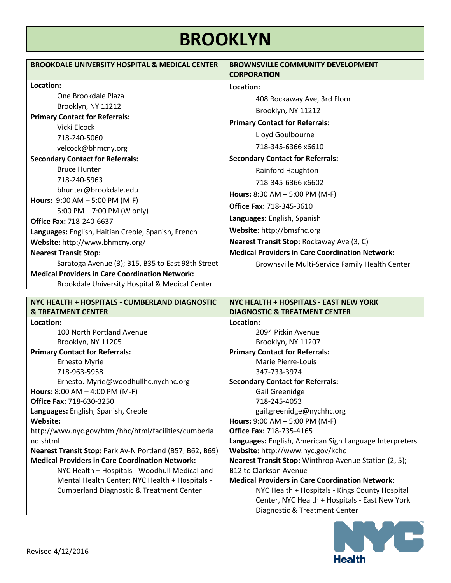### **BROOKLYN**

| <b>BROOKDALE UNIVERSITY HOSPITAL &amp; MEDICAL CENTER</b>                                       | <b>BROWNSVILLE COMMUNITY DEVELOPMENT</b>                                                |
|-------------------------------------------------------------------------------------------------|-----------------------------------------------------------------------------------------|
|                                                                                                 | <b>CORPORATION</b>                                                                      |
| Location:                                                                                       | Location:                                                                               |
| One Brookdale Plaza                                                                             | 408 Rockaway Ave, 3rd Floor                                                             |
| Brooklyn, NY 11212                                                                              | Brooklyn, NY 11212                                                                      |
| <b>Primary Contact for Referrals:</b>                                                           |                                                                                         |
| Vicki Elcock                                                                                    | <b>Primary Contact for Referrals:</b>                                                   |
| 718-240-5060                                                                                    | Lloyd Goulbourne                                                                        |
| velcock@bhmcny.org                                                                              | 718-345-6366 x6610                                                                      |
| <b>Secondary Contact for Referrals:</b>                                                         | <b>Secondary Contact for Referrals:</b>                                                 |
| <b>Bruce Hunter</b>                                                                             | Rainford Haughton                                                                       |
| 718-240-5963                                                                                    | 718-345-6366 x6602                                                                      |
| bhunter@brookdale.edu                                                                           | Hours: $8:30$ AM $- 5:00$ PM (M-F)                                                      |
| Hours: $9:00$ AM $- 5:00$ PM (M-F)                                                              | <b>Office Fax: 718-345-3610</b>                                                         |
| 5:00 PM - 7:00 PM (W only)                                                                      | Languages: English, Spanish                                                             |
| <b>Office Fax: 718-240-6637</b>                                                                 |                                                                                         |
| Languages: English, Haitian Creole, Spanish, French                                             | Website: http://bmsfhc.org                                                              |
| Website: http://www.bhmcny.org/                                                                 | Nearest Transit Stop: Rockaway Ave (3, C)                                               |
| <b>Nearest Transit Stop:</b>                                                                    | <b>Medical Providers in Care Coordination Network:</b>                                  |
| Saratoga Avenue (3); B15, B35 to East 98th Street                                               | Brownsville Multi-Service Family Health Center                                          |
| <b>Medical Providers in Care Coordination Network:</b>                                          |                                                                                         |
| Brookdale University Hospital & Medical Center                                                  |                                                                                         |
|                                                                                                 |                                                                                         |
|                                                                                                 |                                                                                         |
| NYC HEALTH + HOSPITALS - CUMBERLAND DIAGNOSTIC<br><b>&amp; TREATMENT CENTER</b>                 | NYC HEALTH + HOSPITALS - EAST NEW YORK<br><b>DIAGNOSTIC &amp; TREATMENT CENTER</b>      |
| Location:                                                                                       | Location:                                                                               |
| 100 North Portland Avenue                                                                       | 2094 Pitkin Avenue                                                                      |
| Brooklyn, NY 11205                                                                              | Brooklyn, NY 11207                                                                      |
| <b>Primary Contact for Referrals:</b>                                                           | <b>Primary Contact for Referrals:</b>                                                   |
| <b>Ernesto Myrie</b>                                                                            | Marie Pierre-Louis                                                                      |
| 718-963-5958                                                                                    | 347-733-3974                                                                            |
| Ernesto. Myrie@woodhullhc.nychhc.org                                                            | <b>Secondary Contact for Referrals:</b>                                                 |
| <b>Hours:</b> $8:00$ AM $-$ 4:00 PM (M-F)                                                       | Gail Greenidge                                                                          |
| <b>Office Fax: 718-630-3250</b>                                                                 | 718-245-4053                                                                            |
| Languages: English, Spanish, Creole                                                             | gail.greenidge@nychhc.org                                                               |
| Website:                                                                                        | Hours: 9:00 AM - 5:00 PM (M-F)                                                          |
| http://www.nyc.gov/html/hhc/html/facilities/cumberla                                            | <b>Office Fax: 718-735-4165</b>                                                         |
| nd.shtml                                                                                        | Languages: English, American Sign Language Interpreters                                 |
| Nearest Transit Stop: Park Av-N Portland (B57, B62, B69)                                        | Website: http://www.nyc.gov/kchc                                                        |
| <b>Medical Providers in Care Coordination Network:</b>                                          | <b>Nearest Transit Stop:</b> Winthrop Avenue Station (2, 5);                            |
| NYC Health + Hospitals - Woodhull Medical and<br>Mental Health Center; NYC Health + Hospitals - | <b>B12 to Clarkson Avenue</b><br><b>Medical Providers in Care Coordination Network:</b> |
| <b>Cumberland Diagnostic &amp; Treatment Center</b>                                             | NYC Health + Hospitals - Kings County Hospital                                          |
|                                                                                                 | Center, NYC Health + Hospitals - East New York                                          |

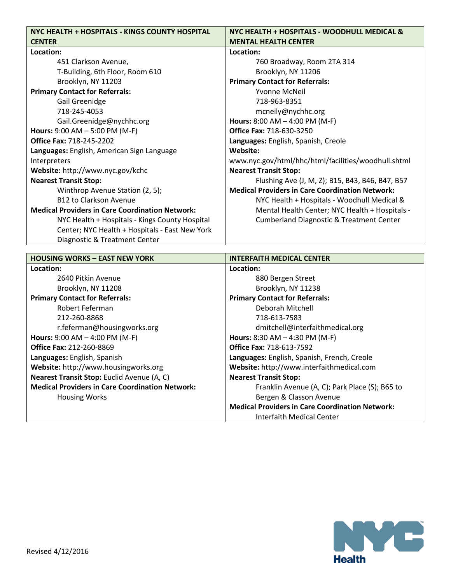| NYC HEALTH + HOSPITALS - KINGS COUNTY HOSPITAL         | NYC HEALTH + HOSPITALS - WOODHULL MEDICAL &            |
|--------------------------------------------------------|--------------------------------------------------------|
| <b>CENTER</b>                                          | <b>MENTAL HEALTH CENTER</b>                            |
| Location:                                              | Location:                                              |
| 451 Clarkson Avenue,                                   | 760 Broadway, Room 2TA 314                             |
| T-Building, 6th Floor, Room 610                        | Brooklyn, NY 11206                                     |
| Brooklyn, NY 11203                                     | <b>Primary Contact for Referrals:</b>                  |
| <b>Primary Contact for Referrals:</b>                  | <b>Yvonne McNeil</b>                                   |
| Gail Greenidge                                         | 718-963-8351                                           |
| 718-245-4053                                           | mcneily@nychhc.org                                     |
| Gail.Greenidge@nychhc.org                              | <b>Hours:</b> $8:00$ AM $-$ 4:00 PM (M-F)              |
| Hours: $9:00$ AM $- 5:00$ PM (M-F)                     | <b>Office Fax: 718-630-3250</b>                        |
| <b>Office Fax: 718-245-2202</b>                        | Languages: English, Spanish, Creole                    |
| Languages: English, American Sign Language             | Website:                                               |
| Interpreters                                           | www.nyc.gov/html/hhc/html/facilities/woodhull.shtml    |
| Website: http://www.nyc.gov/kchc                       | <b>Nearest Transit Stop:</b>                           |
| <b>Nearest Transit Stop:</b>                           | Flushing Ave (J, M, Z); B15, B43, B46, B47, B57        |
| Winthrop Avenue Station (2, 5);                        | <b>Medical Providers in Care Coordination Network:</b> |
| <b>B12 to Clarkson Avenue</b>                          | NYC Health + Hospitals - Woodhull Medical &            |
| <b>Medical Providers in Care Coordination Network:</b> | Mental Health Center; NYC Health + Hospitals -         |
| NYC Health + Hospitals - Kings County Hospital         | <b>Cumberland Diagnostic &amp; Treatment Center</b>    |
| Center; NYC Health + Hospitals - East New York         |                                                        |
| Diagnostic & Treatment Center                          |                                                        |

| <b>HOUSING WORKS - EAST NEW YORK</b>                   | <b>INTERFAITH MEDICAL CENTER</b>                       |
|--------------------------------------------------------|--------------------------------------------------------|
| Location:                                              | Location:                                              |
| 2640 Pitkin Avenue                                     | 880 Bergen Street                                      |
| Brooklyn, NY 11208                                     | Brooklyn, NY 11238                                     |
| <b>Primary Contact for Referrals:</b>                  | <b>Primary Contact for Referrals:</b>                  |
| Robert Feferman                                        | Deborah Mitchell                                       |
| 212-260-8868                                           | 718-613-7583                                           |
| r.feferman@housingworks.org                            | dmitchell@interfaithmedical.org                        |
| <b>Hours:</b> 9:00 AM $-$ 4:00 PM (M-F)                | <b>Hours:</b> 8:30 AM $-$ 4:30 PM (M-F)                |
| <b>Office Fax: 212-260-8869</b>                        | <b>Office Fax: 718-613-7592</b>                        |
| Languages: English, Spanish                            | Languages: English, Spanish, French, Creole            |
| Website: http://www.housingworks.org                   | Website: http://www.interfaithmedical.com              |
| Nearest Transit Stop: Euclid Avenue (A, C)             | <b>Nearest Transit Stop:</b>                           |
| <b>Medical Providers in Care Coordination Network:</b> | Franklin Avenue (A, C); Park Place (S); B65 to         |
| <b>Housing Works</b>                                   | Bergen & Classon Avenue                                |
|                                                        | <b>Medical Providers in Care Coordination Network:</b> |
|                                                        | Interfaith Medical Center                              |

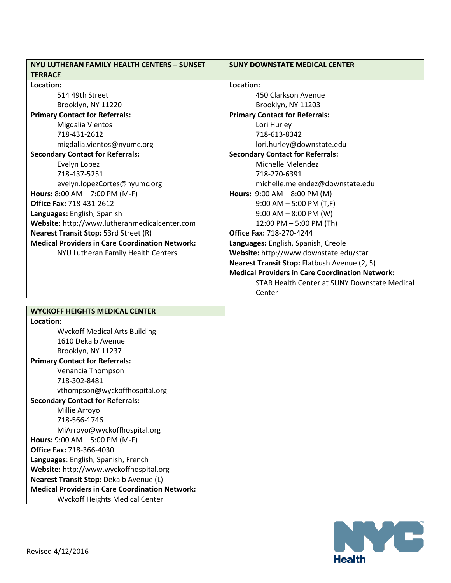| NYU LUTHERAN FAMILY HEALTH CENTERS - SUNSET            | <b>SUNY DOWNSTATE MEDICAL CENTER</b>                          |
|--------------------------------------------------------|---------------------------------------------------------------|
| <b>TERRACE</b>                                         |                                                               |
| Location:                                              | Location:                                                     |
| 514 49th Street                                        | 450 Clarkson Avenue                                           |
| Brooklyn, NY 11220                                     | Brooklyn, NY 11203                                            |
| <b>Primary Contact for Referrals:</b>                  | <b>Primary Contact for Referrals:</b>                         |
| Migdalia Vientos                                       | Lori Hurley                                                   |
| 718-431-2612                                           | 718-613-8342                                                  |
| migdalia.vientos@nyumc.org                             | lori.hurley@downstate.edu                                     |
| <b>Secondary Contact for Referrals:</b>                | <b>Secondary Contact for Referrals:</b>                       |
| Evelyn Lopez                                           | Michelle Melendez                                             |
| 718-437-5251                                           | 718-270-6391                                                  |
| evelyn.lopezCortes@nyumc.org                           | michelle.melendez@downstate.edu                               |
| Hours: $8:00$ AM $- 7:00$ PM (M-F)                     | <b>Hours: <math>9:00</math> AM <math>- 8:00</math> PM (M)</b> |
| <b>Office Fax: 718-431-2612</b>                        | $9:00$ AM $-5:00$ PM (T,F)                                    |
| Languages: English, Spanish                            | $9:00$ AM $- 8:00$ PM (W)                                     |
| Website: http://www.lutheranmedicalcenter.com          | 12:00 PM - 5:00 PM (Th)                                       |
| Nearest Transit Stop: 53rd Street (R)                  | <b>Office Fax: 718-270-4244</b>                               |
| <b>Medical Providers in Care Coordination Network:</b> | Languages: English, Spanish, Creole                           |
| NYU Lutheran Family Health Centers                     | Website: http://www.downstate.edu/star                        |
|                                                        | Nearest Transit Stop: Flatbush Avenue (2, 5)                  |
|                                                        | <b>Medical Providers in Care Coordination Network:</b>        |
|                                                        | STAR Health Center at SUNY Downstate Medical                  |
|                                                        | Center                                                        |

| WYCKOFF HEIGHTS MEDICAL CENTER                         |  |
|--------------------------------------------------------|--|
| Location:                                              |  |
| <b>Wyckoff Medical Arts Building</b>                   |  |
| 1610 Dekalb Avenue                                     |  |
| Brooklyn, NY 11237                                     |  |
| <b>Primary Contact for Referrals:</b>                  |  |
| Venancia Thompson                                      |  |
| 718-302-8481                                           |  |
| vthompson@wyckoffhospital.org                          |  |
| <b>Secondary Contact for Referrals:</b>                |  |
| Millie Arroyo                                          |  |
| 718-566-1746                                           |  |
| MiArroyo@wyckoffhospital.org                           |  |
| Hours: $9:00$ AM $-5:00$ PM (M-F)                      |  |
| <b>Office Fax: 718-366-4030</b>                        |  |
| Languages: English, Spanish, French                    |  |
| <b>Website:</b> http://www.wyckoffhospital.org         |  |
| <b>Nearest Transit Stop: Dekalb Avenue (L)</b>         |  |
| <b>Medical Providers in Care Coordination Network:</b> |  |
| <b>Wyckoff Heights Medical Center</b>                  |  |

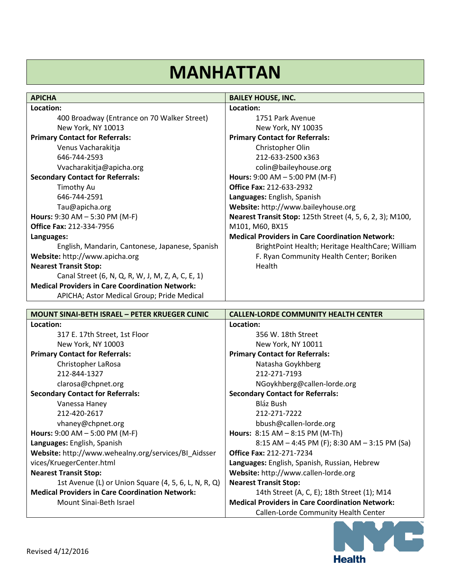# **MANHATTAN**

| <b>APICHA</b>                                          | <b>BAILEY HOUSE, INC.</b>                                        |
|--------------------------------------------------------|------------------------------------------------------------------|
| Location:                                              | Location:                                                        |
| 400 Broadway (Entrance on 70 Walker Street)            | 1751 Park Avenue                                                 |
| New York, NY 10013                                     | New York, NY 10035                                               |
| <b>Primary Contact for Referrals:</b>                  | <b>Primary Contact for Referrals:</b>                            |
| Venus Vacharakitja                                     | Christopher Olin                                                 |
| 646-744-2593                                           | 212-633-2500 x363                                                |
| Vvacharakitja@apicha.org                               | colin@baileyhouse.org                                            |
| <b>Secondary Contact for Referrals:</b>                | <b>Hours:</b> $9:00$ AM $- 5:00$ PM (M-F)                        |
| Timothy Au                                             | <b>Office Fax: 212-633-2932</b>                                  |
| 646-744-2591                                           | Languages: English, Spanish                                      |
| Tau@apicha.org                                         | Website: http://www.baileyhouse.org                              |
| <b>Hours:</b> 9:30 AM $-$ 5:30 PM (M-F)                | <b>Nearest Transit Stop: 125th Street (4, 5, 6, 2, 3); M100,</b> |
| <b>Office Fax: 212-334-7956</b>                        | M101, M60, BX15                                                  |
| Languages:                                             | <b>Medical Providers in Care Coordination Network:</b>           |
| English, Mandarin, Cantonese, Japanese, Spanish        | BrightPoint Health; Heritage HealthCare; William                 |
| Website: http://www.apicha.org                         | F. Ryan Community Health Center; Boriken                         |
| <b>Nearest Transit Stop:</b>                           | Health                                                           |
| Canal Street (6, N, Q, R, W, J, M, Z, A, C, E, 1)      |                                                                  |
| <b>Medical Providers in Care Coordination Network:</b> |                                                                  |
| APICHA; Astor Medical Group; Pride Medical             |                                                                  |

| <b>MOUNT SINAI-BETH ISRAEL - PETER KRUEGER CLINIC</b>  | <b>CALLEN-LORDE COMMUNITY HEALTH CENTER</b>            |
|--------------------------------------------------------|--------------------------------------------------------|
| Location:                                              | Location:                                              |
| 317 E. 17th Street, 1st Floor                          | 356 W. 18th Street                                     |
| New York, NY 10003                                     | New York, NY 10011                                     |
| <b>Primary Contact for Referrals:</b>                  | <b>Primary Contact for Referrals:</b>                  |
| Christopher LaRosa                                     | Natasha Goykhberg                                      |
| 212-844-1327                                           | 212-271-7193                                           |
| clarosa@chpnet.org                                     | NGoykhberg@callen-lorde.org                            |
| <b>Secondary Contact for Referrals:</b>                | <b>Secondary Contact for Referrals:</b>                |
| Vanessa Haney                                          | Bláz Bush                                              |
| 212-420-2617                                           | 212-271-7222                                           |
| vhaney@chpnet.org                                      | bbush@callen-lorde.org                                 |
| Hours: $9:00$ AM $- 5:00$ PM (M-F)                     | Hours: 8:15 AM - 8:15 PM (M-Th)                        |
| Languages: English, Spanish                            | 8:15 AM $-$ 4:45 PM (F); 8:30 AM $-$ 3:15 PM (Sa)      |
| Website: http://www.wehealny.org/services/BI_Aidsser   | <b>Office Fax: 212-271-7234</b>                        |
| vices/KruegerCenter.html                               | Languages: English, Spanish, Russian, Hebrew           |
| <b>Nearest Transit Stop:</b>                           | Website: http://www.callen-lorde.org                   |
| 1st Avenue (L) or Union Square (4, 5, 6, L, N, R, Q)   | <b>Nearest Transit Stop:</b>                           |
| <b>Medical Providers in Care Coordination Network:</b> | 14th Street (A, C, E); 18th Street (1); M14            |
| Mount Sinai-Beth Israel                                | <b>Medical Providers in Care Coordination Network:</b> |
|                                                        | Callen-Lorde Community Health Center                   |

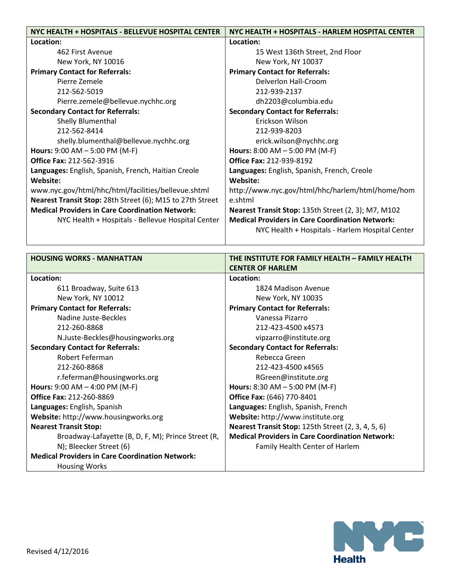| NYC HEALTH + HOSPITALS - BELLEVUE HOSPITAL CENTER         | NYC HEALTH + HOSPITALS - HARLEM HOSPITAL CENTER        |
|-----------------------------------------------------------|--------------------------------------------------------|
| Location:                                                 | Location:                                              |
| 462 First Avenue                                          | 15 West 136th Street, 2nd Floor                        |
| New York, NY 10016                                        | New York, NY 10037                                     |
| <b>Primary Contact for Referrals:</b>                     | <b>Primary Contact for Referrals:</b>                  |
| Pierre Zemele                                             | Delverlon Hall-Croom                                   |
| 212-562-5019                                              | 212-939-2137                                           |
| Pierre.zemele@bellevue.nychhc.org                         | dh2203@columbia.edu                                    |
| <b>Secondary Contact for Referrals:</b>                   | <b>Secondary Contact for Referrals:</b>                |
| Shelly Blumenthal                                         | Erickson Wilson                                        |
| 212-562-8414                                              | 212-939-8203                                           |
| shelly.blumenthal@bellevue.nychhc.org                     | erick.wilson@nychhc.org                                |
| <b>Hours:</b> 9:00 AM $-$ 5:00 PM (M-F)                   | Hours: $8:00$ AM $- 5:00$ PM (M-F)                     |
| <b>Office Fax: 212-562-3916</b>                           | <b>Office Fax: 212-939-8192</b>                        |
| Languages: English, Spanish, French, Haitian Creole       | Languages: English, Spanish, French, Creole            |
| Website:                                                  | Website:                                               |
| www.nyc.gov/html/hhc/html/facilities/bellevue.shtml       | http://www.nyc.gov/html/hhc/harlem/html/home/hom       |
| Nearest Transit Stop: 28th Street (6); M15 to 27th Street | e.shtml                                                |
| <b>Medical Providers in Care Coordination Network:</b>    | Nearest Transit Stop: 135th Street (2, 3); M7, M102    |
| NYC Health + Hospitals - Bellevue Hospital Center         | <b>Medical Providers in Care Coordination Network:</b> |
|                                                           | NYC Health + Hospitals - Harlem Hospital Center        |
|                                                           |                                                        |

| <b>HOUSING WORKS - MANHATTAN</b>                       | THE INSTITUTE FOR FAMILY HEALTH - FAMILY HEALTH           |
|--------------------------------------------------------|-----------------------------------------------------------|
|                                                        | <b>CENTER OF HARLEM</b>                                   |
| Location:                                              | Location:                                                 |
| 611 Broadway, Suite 613                                | 1824 Madison Avenue                                       |
| New York, NY 10012                                     | New York, NY 10035                                        |
| <b>Primary Contact for Referrals:</b>                  | <b>Primary Contact for Referrals:</b>                     |
| Nadine Juste-Beckles                                   | Vanessa Pizarro                                           |
| 212-260-8868                                           | 212-423-4500 x4573                                        |
| N.Juste-Beckles@housingworks.org                       | vipzarro@institute.org                                    |
| <b>Secondary Contact for Referrals:</b>                | <b>Secondary Contact for Referrals:</b>                   |
| Robert Feferman                                        | Rebecca Green                                             |
| 212-260-8868                                           | 212-423-4500 x4565                                        |
| r.feferman@housingworks.org                            | RGreen@institute.org                                      |
| <b>Hours:</b> 9:00 AM $-$ 4:00 PM (M-F)                | Hours: $8:30$ AM $- 5:00$ PM (M-F)                        |
| <b>Office Fax: 212-260-8869</b>                        | <b>Office Fax: (646) 770-8401</b>                         |
| Languages: English, Spanish                            | Languages: English, Spanish, French                       |
| Website: http://www.housingworks.org                   | Website: http://www.institute.org                         |
| <b>Nearest Transit Stop:</b>                           | <b>Nearest Transit Stop: 125th Street (2, 3, 4, 5, 6)</b> |
| Broadway-Lafayette (B, D, F, M); Prince Street (R,     | <b>Medical Providers in Care Coordination Network:</b>    |
| N); Bleecker Street (6)                                | Family Health Center of Harlem                            |
| <b>Medical Providers in Care Coordination Network:</b> |                                                           |
| <b>Housing Works</b>                                   |                                                           |

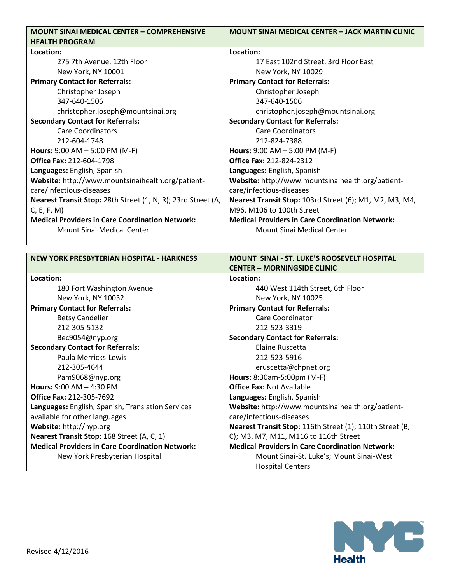| <b>MOUNT SINAI MEDICAL CENTER - COMPREHENSIVE</b>            | <b>MOUNT SINAI MEDICAL CENTER – JACK MARTIN CLINIC</b>  |
|--------------------------------------------------------------|---------------------------------------------------------|
| <b>HEALTH PROGRAM</b>                                        |                                                         |
| Location:                                                    | Location:                                               |
| 275 7th Avenue, 12th Floor                                   | 17 East 102nd Street, 3rd Floor East                    |
| New York, NY 10001                                           | New York, NY 10029                                      |
| <b>Primary Contact for Referrals:</b>                        | <b>Primary Contact for Referrals:</b>                   |
| Christopher Joseph                                           | Christopher Joseph                                      |
| 347-640-1506                                                 | 347-640-1506                                            |
| christopher.joseph@mountsinai.org                            | christopher.joseph@mountsinai.org                       |
| <b>Secondary Contact for Referrals:</b>                      | <b>Secondary Contact for Referrals:</b>                 |
| <b>Care Coordinators</b>                                     | <b>Care Coordinators</b>                                |
| 212-604-1748                                                 | 212-824-7388                                            |
| Hours: $9:00$ AM $- 5:00$ PM (M-F)                           | Hours: $9:00$ AM $- 5:00$ PM (M-F)                      |
| <b>Office Fax: 212-604-1798</b>                              | <b>Office Fax: 212-824-2312</b>                         |
| Languages: English, Spanish                                  | Languages: English, Spanish                             |
| Website: http://www.mountsinaihealth.org/patient-            | Website: http://www.mountsinaihealth.org/patient-       |
| care/infectious-diseases                                     | care/infectious-diseases                                |
| Nearest Transit Stop: 28th Street (1, N, R); 23rd Street (A, | Nearest Transit Stop: 103rd Street (6); M1, M2, M3, M4, |
| C, E, F, M                                                   | M96, M106 to 100th Street                               |
| <b>Medical Providers in Care Coordination Network:</b>       | <b>Medical Providers in Care Coordination Network:</b>  |
| Mount Sinai Medical Center                                   | Mount Sinai Medical Center                              |
|                                                              |                                                         |

| <b>NEW YORK PRESBYTERIAN HOSPITAL - HARKNESS</b>       | <b>MOUNT SINAI - ST. LUKE'S ROOSEVELT HOSPITAL</b>       |
|--------------------------------------------------------|----------------------------------------------------------|
|                                                        | <b>CENTER - MORNINGSIDE CLINIC</b>                       |
| Location:                                              | Location:                                                |
| 180 Fort Washington Avenue                             | 440 West 114th Street, 6th Floor                         |
| New York, NY 10032                                     | New York, NY 10025                                       |
| <b>Primary Contact for Referrals:</b>                  | <b>Primary Contact for Referrals:</b>                    |
| <b>Betsy Candelier</b>                                 | Care Coordinator                                         |
| 212-305-5132                                           | 212-523-3319                                             |
| Bec9054@nyp.org                                        | <b>Secondary Contact for Referrals:</b>                  |
| <b>Secondary Contact for Referrals:</b>                | <b>Flaine Ruscetta</b>                                   |
| Paula Merricks-Lewis                                   | 212-523-5916                                             |
| 212-305-4644                                           | eruscetta@chpnet.org                                     |
| Pam9068@nyp.org                                        | Hours: 8:30am-5:00pm (M-F)                               |
| <b>Hours: 9:00 AM - 4:30 PM</b>                        | <b>Office Fax: Not Available</b>                         |
| <b>Office Fax: 212-305-7692</b>                        | Languages: English, Spanish                              |
| Languages: English, Spanish, Translation Services      | Website: http://www.mountsinaihealth.org/patient-        |
| available for other languages                          | care/infectious-diseases                                 |
| Website: http://nyp.org                                | Nearest Transit Stop: 116th Street (1); 110th Street (B, |
| Nearest Transit Stop: 168 Street (A, C, 1)             | C); M3, M7, M11, M116 to 116th Street                    |
| <b>Medical Providers in Care Coordination Network:</b> | <b>Medical Providers in Care Coordination Network:</b>   |
| New York Presbyterian Hospital                         | Mount Sinai-St. Luke's; Mount Sinai-West                 |
|                                                        | <b>Hospital Centers</b>                                  |

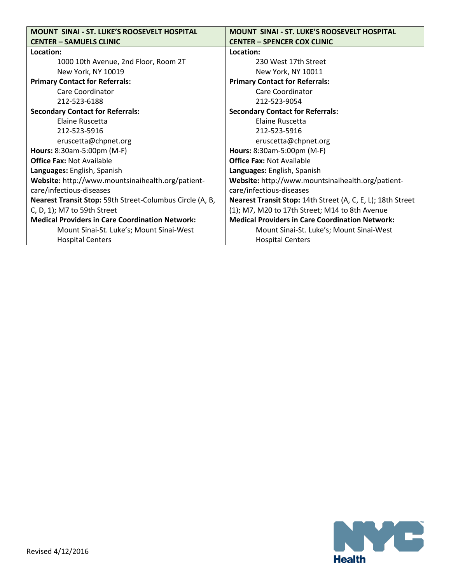| <b>MOUNT SINAI - ST. LUKE'S ROOSEVELT HOSPITAL</b>              | <b>MOUNT SINAI - ST. LUKE'S ROOSEVELT HOSPITAL</b>          |
|-----------------------------------------------------------------|-------------------------------------------------------------|
| <b>CENTER - SAMUELS CLINIC</b>                                  | <b>CENTER - SPENCER COX CLINIC</b>                          |
| Location:                                                       | Location:                                                   |
| 1000 10th Avenue, 2nd Floor, Room 2T                            | 230 West 17th Street                                        |
| New York, NY 10019                                              | New York, NY 10011                                          |
| <b>Primary Contact for Referrals:</b>                           | <b>Primary Contact for Referrals:</b>                       |
| Care Coordinator                                                | Care Coordinator                                            |
| 212-523-6188                                                    | 212-523-9054                                                |
| <b>Secondary Contact for Referrals:</b>                         | <b>Secondary Contact for Referrals:</b>                     |
| Elaine Ruscetta                                                 | Elaine Ruscetta                                             |
| 212-523-5916                                                    | 212-523-5916                                                |
| eruscetta@chpnet.org                                            | eruscetta@chpnet.org                                        |
| Hours: 8:30am-5:00pm (M-F)                                      | Hours: 8:30am-5:00pm (M-F)                                  |
| <b>Office Fax: Not Available</b>                                | <b>Office Fax: Not Available</b>                            |
| Languages: English, Spanish                                     | Languages: English, Spanish                                 |
| Website: http://www.mountsinaihealth.org/patient-               | Website: http://www.mountsinaihealth.org/patient-           |
| care/infectious-diseases                                        | care/infectious-diseases                                    |
| <b>Nearest Transit Stop:</b> 59th Street-Columbus Circle (A, B, | Nearest Transit Stop: 14th Street (A, C, E, L); 18th Street |
| C, D, 1); M7 to 59th Street                                     | (1); M7, M20 to 17th Street; M14 to 8th Avenue              |
| <b>Medical Providers in Care Coordination Network:</b>          | <b>Medical Providers in Care Coordination Network:</b>      |
| Mount Sinai-St. Luke's; Mount Sinai-West                        | Mount Sinai-St. Luke's; Mount Sinai-West                    |
| <b>Hospital Centers</b>                                         | <b>Hospital Centers</b>                                     |

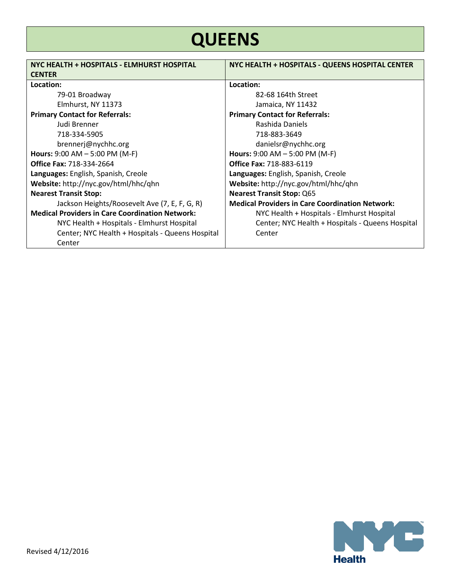# **QUEENS**

| NYC HEALTH + HOSPITALS - ELMHURST HOSPITAL<br><b>CENTER</b> | NYC HEALTH + HOSPITALS - QUEENS HOSPITAL CENTER        |
|-------------------------------------------------------------|--------------------------------------------------------|
| Location:                                                   | Location:                                              |
| 79-01 Broadway                                              | 82-68 164th Street                                     |
| Elmhurst, NY 11373                                          | Jamaica, NY 11432                                      |
| <b>Primary Contact for Referrals:</b>                       | <b>Primary Contact for Referrals:</b>                  |
| Judi Brenner                                                | Rashida Daniels                                        |
| 718-334-5905                                                | 718-883-3649                                           |
| brennerj@nychhc.org                                         | danielsr@nychhc.org                                    |
| Hours: $9:00$ AM $-5:00$ PM (M-F)                           | <b>Hours:</b> $9:00$ AM $- 5:00$ PM (M-F)              |
| <b>Office Fax: 718-334-2664</b>                             | <b>Office Fax: 718-883-6119</b>                        |
| Languages: English, Spanish, Creole                         | Languages: English, Spanish, Creole                    |
| Website: http://nyc.gov/html/hhc/qhn                        | Website: http://nyc.gov/html/hhc/qhn                   |
| <b>Nearest Transit Stop:</b>                                | <b>Nearest Transit Stop: Q65</b>                       |
| Jackson Heights/Roosevelt Ave (7, E, F, G, R)               | <b>Medical Providers in Care Coordination Network:</b> |
| <b>Medical Providers in Care Coordination Network:</b>      | NYC Health + Hospitals - Elmhurst Hospital             |
| NYC Health + Hospitals - Elmhurst Hospital                  | Center; NYC Health + Hospitals - Queens Hospital       |
| Center; NYC Health + Hospitals - Queens Hospital            | Center                                                 |
| Center                                                      |                                                        |